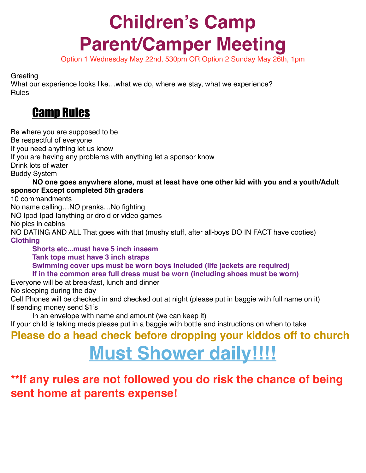# **Children's Camp Parent/Camper Meeting**

Option 1 Wednesday May 22nd, 530pm OR Option 2 Sunday May 26th, 1pm

**Greeting** 

What our experience looks like…what we do, where we stay, what we experience? Rules

### Camp Rules

Be where you are supposed to be Be respectful of everyone If you need anything let us know If you are having any problems with anything let a sponsor know Drink lots of water Buddy System **NO one goes anywhere alone, must at least have one other kid with you and a youth/Adult sponsor Except completed 5th graders** 10 commandments No name calling…NO pranks…No fighting NO Ipod Ipad Ianything or droid or video games No pics in cabins NO DATING AND ALL That goes with that (mushy stuff, after all-boys DO IN FACT have cooties) **Clothing Shorts etc...must have 5 inch inseam Tank tops must have 3 inch straps Swimming cover ups must be worn boys included (life jackets are required) If in the common area full dress must be worn (including shoes must be worn)** Everyone will be at breakfast, lunch and dinner No sleeping during the day Cell Phones will be checked in and checked out at night (please put in baggie with full name on it) If sending money send \$1's In an envelope with name and amount (we can keep it)

If your child is taking meds please put in a baggie with bottle and instructions on when to take

## **Please do a head check before dropping your kiddos off to church Must Shower daily!!!!**

#### **\*\*If any rules are not followed you do risk the chance of being sent home at parents expense!**